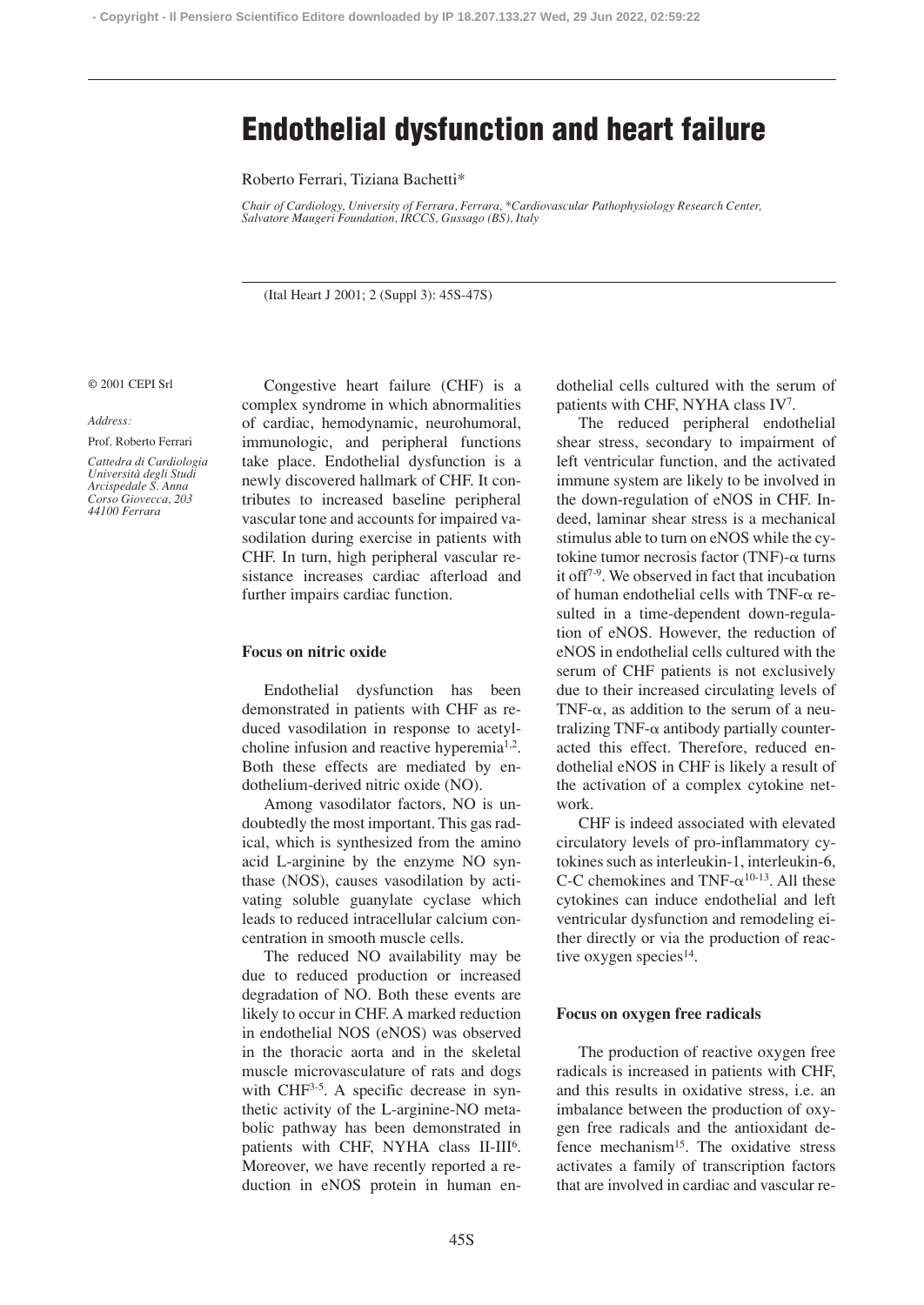# **Endothelial dysfunction and heart failure**

Roberto Ferrari, Tiziana Bachetti\*

*Chair of Cardiology, University of Ferrara, Ferrara, \*Cardiovascular Pathophysiology Research Center, Salvatore Maugeri Foundation, IRCCS, Gussago (BS), Italy*

(Ital Heart J 2001; 2 (Suppl 3): 45S-47S)

#### © 2001 CEPI Srl

*Address:*

Prof. Roberto Ferrari

*Cattedra di Cardiologia Università degli Studi Arcispedale S. Anna Corso Giovecca, 203 44100 Ferrara*

Congestive heart failure (CHF) is a complex syndrome in which abnormalities of cardiac, hemodynamic, neurohumoral, immunologic, and peripheral functions take place. Endothelial dysfunction is a newly discovered hallmark of CHF. It contributes to increased baseline peripheral vascular tone and accounts for impaired vasodilation during exercise in patients with CHF. In turn, high peripheral vascular resistance increases cardiac afterload and further impairs cardiac function.

## **Focus on nitric oxide**

Endothelial dysfunction has been demonstrated in patients with CHF as reduced vasodilation in response to acetylcholine infusion and reactive hyperemia<sup>1,2</sup>. Both these effects are mediated by endothelium-derived nitric oxide (NO).

Among vasodilator factors, NO is undoubtedly the most important. This gas radical, which is synthesized from the amino acid L-arginine by the enzyme NO synthase (NOS), causes vasodilation by activating soluble guanylate cyclase which leads to reduced intracellular calcium concentration in smooth muscle cells.

The reduced NO availability may be due to reduced production or increased degradation of NO. Both these events are likely to occur in CHF. A marked reduction in endothelial NOS (eNOS) was observed in the thoracic aorta and in the skeletal muscle microvasculature of rats and dogs with CHF<sup>3-5</sup>. A specific decrease in synthetic activity of the L-arginine-NO metabolic pathway has been demonstrated in patients with CHF, NYHA class II-III<sup>6</sup>. Moreover, we have recently reported a reduction in eNOS protein in human endothelial cells cultured with the serum of patients with CHF, NYHA class IV7.

The reduced peripheral endothelial shear stress, secondary to impairment of left ventricular function, and the activated immune system are likely to be involved in the down-regulation of eNOS in CHF. Indeed, laminar shear stress is a mechanical stimulus able to turn on eNOS while the cytokine tumor necrosis factor (TNF)- $\alpha$  turns it off7-9. We observed in fact that incubation of human endothelial cells with TNF- $\alpha$  resulted in a time-dependent down-regulation of eNOS. However, the reduction of eNOS in endothelial cells cultured with the serum of CHF patients is not exclusively due to their increased circulating levels of TNF- $\alpha$ , as addition to the serum of a neutralizing TNF- $\alpha$  antibody partially counteracted this effect. Therefore, reduced endothelial eNOS in CHF is likely a result of the activation of a complex cytokine network.

CHF is indeed associated with elevated circulatory levels of pro-inflammatory cytokines such as interleukin-1, interleukin-6, C-C chemokines and TNF- $\alpha^{10-13}$ . All these cytokines can induce endothelial and left ventricular dysfunction and remodeling either directly or via the production of reactive oxygen species $14$ .

## **Focus on oxygen free radicals**

The production of reactive oxygen free radicals is increased in patients with CHF, and this results in oxidative stress, i.e. an imbalance between the production of oxygen free radicals and the antioxidant defence mechanism15. The oxidative stress activates a family of transcription factors that are involved in cardiac and vascular re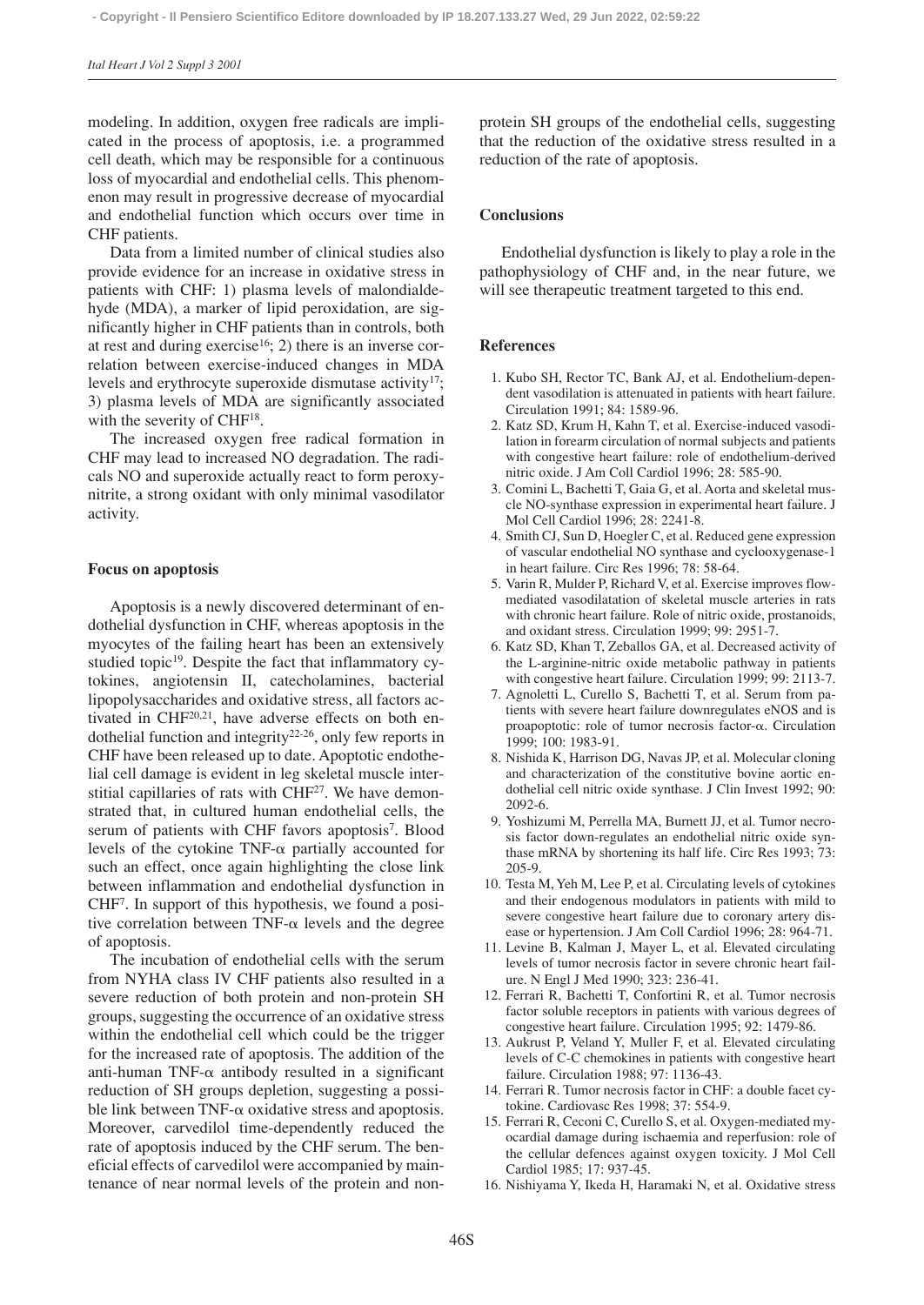modeling. In addition, oxygen free radicals are implicated in the process of apoptosis, i.e. a programmed cell death, which may be responsible for a continuous loss of myocardial and endothelial cells. This phenomenon may result in progressive decrease of myocardial and endothelial function which occurs over time in CHF patients.

Data from a limited number of clinical studies also provide evidence for an increase in oxidative stress in patients with CHF: 1) plasma levels of malondialdehyde (MDA), a marker of lipid peroxidation, are significantly higher in CHF patients than in controls, both at rest and during exercise<sup>16</sup>; 2) there is an inverse correlation between exercise-induced changes in MDA levels and erythrocyte superoxide dismutase activity<sup>17</sup>; 3) plasma levels of MDA are significantly associated with the severity of CHF<sup>18</sup>.

The increased oxygen free radical formation in CHF may lead to increased NO degradation. The radicals NO and superoxide actually react to form peroxynitrite, a strong oxidant with only minimal vasodilator activity.

#### **Focus on apoptosis**

Apoptosis is a newly discovered determinant of endothelial dysfunction in CHF, whereas apoptosis in the myocytes of the failing heart has been an extensively studied topic<sup>19</sup>. Despite the fact that inflammatory cytokines, angiotensin II, catecholamines, bacterial lipopolysaccharides and oxidative stress, all factors activated in CHF<sup>20,21</sup>, have adverse effects on both endothelial function and integrity22-26, only few reports in CHF have been released up to date. Apoptotic endothelial cell damage is evident in leg skeletal muscle interstitial capillaries of rats with CHF<sup>27</sup>. We have demonstrated that, in cultured human endothelial cells, the serum of patients with CHF favors apoptosis<sup>7</sup>. Blood levels of the cytokine TNF- $\alpha$  partially accounted for such an effect, once again highlighting the close link between inflammation and endothelial dysfunction in CHF7. In support of this hypothesis, we found a positive correlation between  $TNF-\alpha$  levels and the degree of apoptosis.

The incubation of endothelial cells with the serum from NYHA class IV CHF patients also resulted in a severe reduction of both protein and non-protein SH groups, suggesting the occurrence of an oxidative stress within the endothelial cell which could be the trigger for the increased rate of apoptosis. The addition of the anti-human TNF- $\alpha$  antibody resulted in a significant reduction of SH groups depletion, suggesting a possible link between  $TNF-\alpha$  oxidative stress and apoptosis. Moreover, carvedilol time-dependently reduced the rate of apoptosis induced by the CHF serum. The beneficial effects of carvedilol were accompanied by maintenance of near normal levels of the protein and nonprotein SH groups of the endothelial cells, suggesting that the reduction of the oxidative stress resulted in a reduction of the rate of apoptosis.

## **Conclusions**

Endothelial dysfunction is likely to play a role in the pathophysiology of CHF and, in the near future, we will see therapeutic treatment targeted to this end.

#### **References**

- 1. Kubo SH, Rector TC, Bank AJ, et al. Endothelium-dependent vasodilation is attenuated in patients with heart failure. Circulation 1991; 84: 1589-96.
- 2. Katz SD, Krum H, Kahn T, et al. Exercise-induced vasodilation in forearm circulation of normal subjects and patients with congestive heart failure: role of endothelium-derived nitric oxide. J Am Coll Cardiol 1996; 28: 585-90.
- 3. Comini L, Bachetti T, Gaia G, et al. Aorta and skeletal muscle NO-synthase expression in experimental heart failure. J Mol Cell Cardiol 1996; 28: 2241-8.
- 4. Smith CJ, Sun D, Hoegler C, et al. Reduced gene expression of vascular endothelial NO synthase and cyclooxygenase-1 in heart failure. Circ Res 1996; 78: 58-64.
- 5. Varin R, Mulder P, Richard V, et al. Exercise improves flowmediated vasodilatation of skeletal muscle arteries in rats with chronic heart failure. Role of nitric oxide, prostanoids, and oxidant stress. Circulation 1999; 99: 2951-7.
- 6. Katz SD, Khan T, Zeballos GA, et al. Decreased activity of the L-arginine-nitric oxide metabolic pathway in patients with congestive heart failure. Circulation 1999; 99: 2113-7.
- 7. Agnoletti L, Curello S, Bachetti T, et al. Serum from patients with severe heart failure downregulates eNOS and is proapoptotic: role of tumor necrosis factor- $\alpha$ . Circulation 1999; 100: 1983-91.
- 8. Nishida K, Harrison DG, Navas JP, et al. Molecular cloning and characterization of the constitutive bovine aortic endothelial cell nitric oxide synthase. J Clin Invest 1992; 90: 2092-6.
- 9. Yoshizumi M, Perrella MA, Burnett JJ, et al. Tumor necrosis factor down-regulates an endothelial nitric oxide synthase mRNA by shortening its half life. Circ Res 1993; 73: 205-9.
- 10. Testa M, Yeh M, Lee P, et al. Circulating levels of cytokines and their endogenous modulators in patients with mild to severe congestive heart failure due to coronary artery disease or hypertension. J Am Coll Cardiol 1996; 28: 964-71.
- 11. Levine B, Kalman J, Mayer L, et al. Elevated circulating levels of tumor necrosis factor in severe chronic heart failure. N Engl J Med 1990; 323: 236-41.
- 12. Ferrari R, Bachetti T, Confortini R, et al. Tumor necrosis factor soluble receptors in patients with various degrees of congestive heart failure. Circulation 1995; 92: 1479-86.
- 13. Aukrust P, Veland Y, Muller F, et al. Elevated circulating levels of C-C chemokines in patients with congestive heart failure. Circulation 1988; 97: 1136-43.
- 14. Ferrari R. Tumor necrosis factor in CHF: a double facet cytokine. Cardiovasc Res 1998; 37: 554-9.
- 15. Ferrari R, Ceconi C, Curello S, et al. Oxygen-mediated myocardial damage during ischaemia and reperfusion: role of the cellular defences against oxygen toxicity. J Mol Cell Cardiol 1985; 17: 937-45.
- 16. Nishiyama Y, Ikeda H, Haramaki N, et al. Oxidative stress